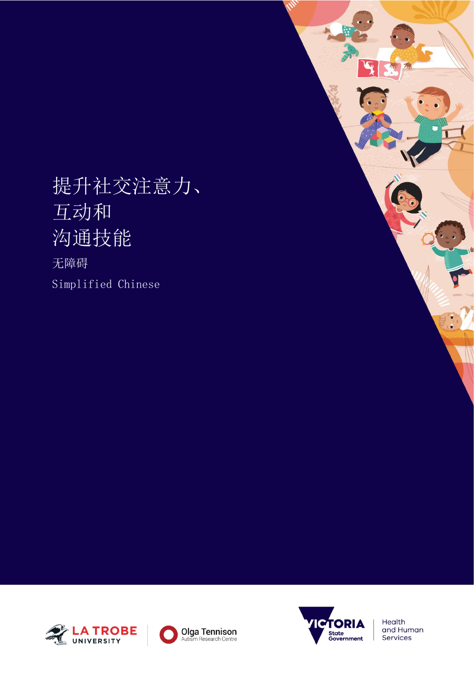# 提升社交注意力、 互动和 沟通技能

无障碍 Simplified Chinese







Health and Human Services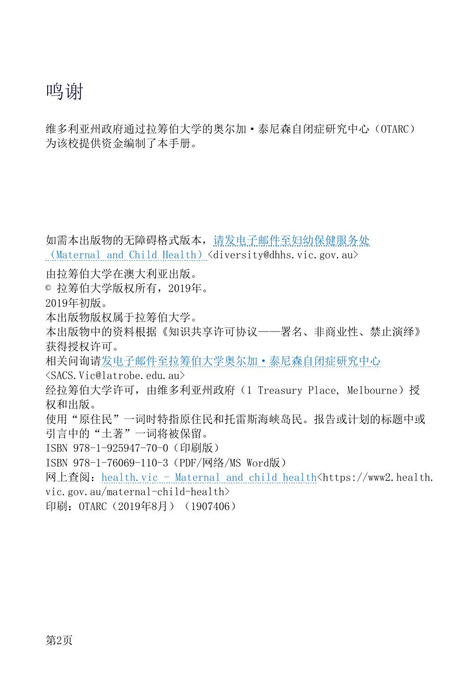## 鸣谢

维多利亚州政府通过拉筹伯大学的奥尔加·泰尼森自闭症研究中心(OTARC) 为该校提供资金编制了本手册。

如需本出版物的无障碍格式版本[,请发电子邮件至妇幼保健服务处](mailto:diversity@dhhs.vic.gov.au) ([Maternal and Child Health](mailto:diversity@dhhs.vic.gov.au))  $\langle$ diversity@dhhs.vic.gov.au $\rangle$ 

由拉筹伯大学在澳大利亚出版。

© 拉筹伯大学版权所有,2019年。

2019年初版。

- 本出版物版权属于拉筹伯大学。
- 本出版物中的资料根据《知识共享许可协议——署名、非商业性、禁止演绎》 获得授权许可。

相关问询[请发电子邮件至拉筹伯大学奥尔加·泰尼森自闭症研究中心](mailto:SACS.Vic@latrobe.edu.au)

[<SACS.Vic@latrobe.edu.au>](mailto:SACS.Vic@latrobe.edu.au)

经拉筹伯大学许可, 由维多利亚州政府(1 Treasury Place, Melbourne)授 权和出版。

- 使用"原住民"一词时特指原住民和托雷斯海峡岛民。报告或计划的标题中或 引言中的"土著"一词将被保留。
- ISBN 978-1-925947-70-0 (印刷版)
- ISBN 978-1-76069-110-3(PDF/网络/MS Word版)
- 网上查阅: health.vic [Maternal and child health<https://www2.health.](https://www2.health.vic.gov.au/maternal-child-health)
- [vic.gov.au/maternal-child-health>](https://www2.health.vic.gov.au/maternal-child-health)
- 印刷: OTARC (2019年8月) (1907406)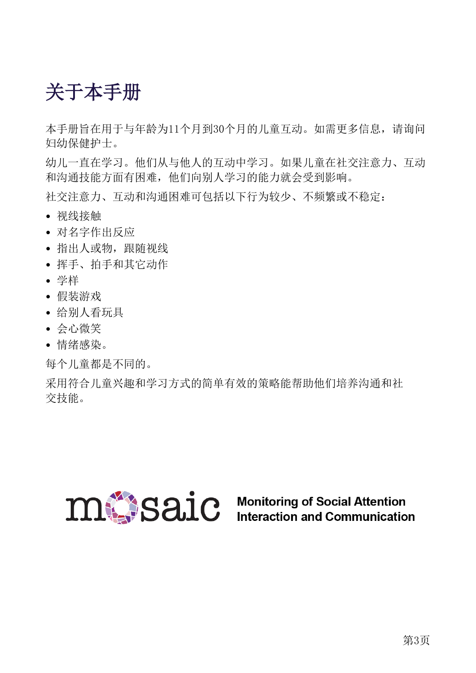# <span id="page-2-0"></span>关于本手册

本手册旨在用于与年龄为11个月到30个月的儿童互动。如需更多信息,请询问 妇幼保健护士。

幼儿一直在学习。他们从与他人的互动中学习。如果儿童在社交注意力、互动 和沟通技能方面有困难,他们向别人学习的能力就会受到影响。

社交注意力、互动和沟通困难可包括以下行为较少、不频繁或不稳定:

- 视线接触
- 对名字作出反应
- 指出人或物,跟随视线
- 挥手、拍手和其它动作
- 学样
- 假装游戏
- 给别人看玩具
- 会心微笑
- 情绪感染。

每个儿童都是不同的。

采用符合儿童兴趣和学习方式的简单有效的策略能帮助他们培养沟通和社 交技能。

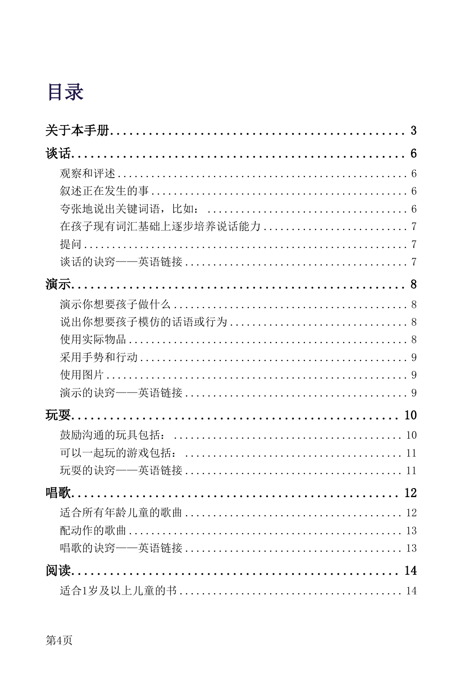# 目录

| 关于本手册……………………………………………………… 3 |  |
|------------------------------|--|
|                              |  |
|                              |  |
|                              |  |
|                              |  |
|                              |  |
|                              |  |
|                              |  |
|                              |  |
|                              |  |
|                              |  |
|                              |  |
|                              |  |
|                              |  |
|                              |  |
|                              |  |
|                              |  |
| 11                           |  |
| 11                           |  |
|                              |  |
|                              |  |
|                              |  |
|                              |  |
|                              |  |
|                              |  |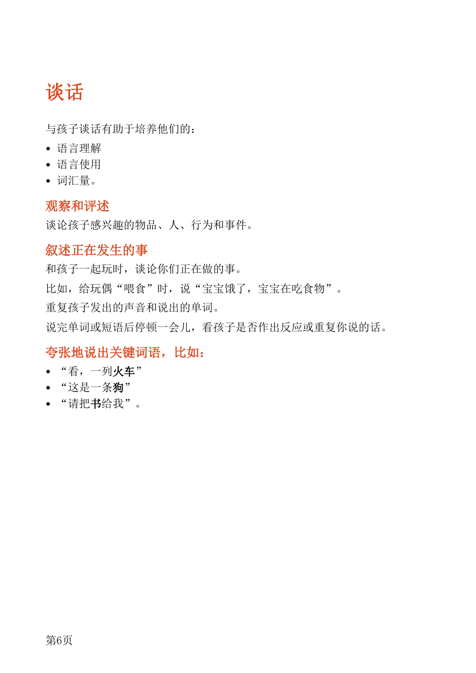# <span id="page-5-0"></span>谈话

与孩子谈话有助于培养他们的:

- 语言理解
- 语言使用
- 词汇量。

### <span id="page-5-1"></span>观察和评述

谈论孩子感兴趣的物品、人、行为和事件。

### <span id="page-5-2"></span>叙述正在发生的事

和孩子一起玩时,谈论你们正在做的事。

比如,给玩偶"喂食"时,说"宝宝饿了,宝宝在吃食物"。

重复孩子发出的声音和说出的单词。

说完单词或短语后停顿一会儿,看孩子是否作出反应或重复你说的话。

## <span id="page-5-3"></span>夸张地说出关键词语,比如:

- "看,一列火车"
- "这是一条狗"
- "请把书给我"。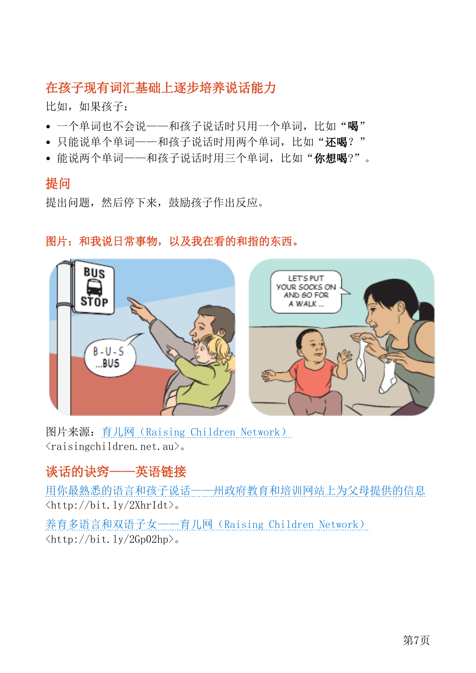### <span id="page-6-0"></span>在孩子现有词汇基础上逐步培养说话能力

比如,如果孩子:

- 一个单词也不会说——和孩子说话时只用一个单词,比如"喝"
- 只能说单个单词——和孩子说话时用两个单词,比如"还喝?"
- 能说两个单词——和孩子说话时用三个单词,比如"你想喝?"。

#### <span id="page-6-1"></span>提问

提出问题,然后停下来,鼓励孩子作出反应。



#### 图片:和我说日常事物,以及我在看的和指的东西。

图片来源:育儿网([Raising Children Network](file://///n075/GROUP/DHHS%20Comms/PUBLISHING/DHHS%20Microsoft%20publications/DHHS%20Word%20publications%202019/Maternal%20child%20health%20services/Promoting%20social%20attention%20interaction%20and%20communication%20skills/raisingchildren.net.au))  $\langle \text{raisingchildren.net.} \text{ au} \rangle$ .

## <span id="page-6-2"></span>谈话的诀窍——英语链接

[用你最熟悉的语言和孩子说话——州政府教育和培训网站上为父母提供的信息](http://bit.ly/2XhrIdt) [<http://bit.ly/2XhrIdt>](http://bit.ly/2XhrIdt)。

养育多语言和双语子女——育儿网 (Raising Children Network)  $\langle \text{http://bit.1y/2Gp02hp}\rangle$ .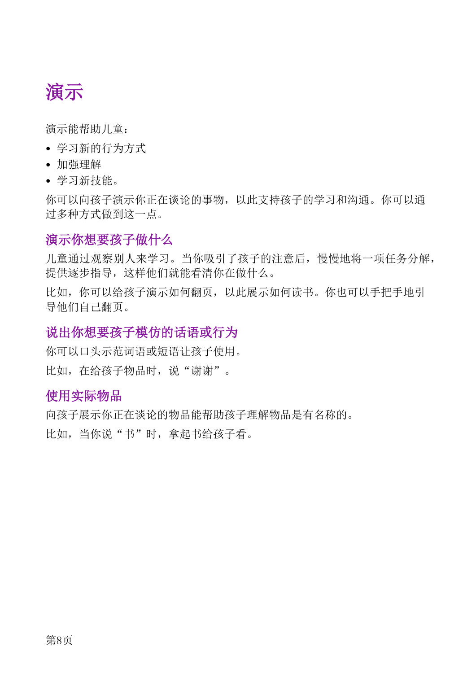<span id="page-7-0"></span>

演示能帮助儿童:

- 学习新的行为方式
- 加强理解
- 学习新技能。

你可以向孩子演示你正在谈论的事物,以此支持孩子的学习和沟通。你可以通 过多种方式做到这一点。

#### <span id="page-7-1"></span>演示你想要孩子做什么

儿童通过观察别人来学习。当你吸引了孩子的注意后,慢慢地将一项任务分解, 提供逐步指导,这样他们就能看清你在做什么。

比如,你可以给孩子演示如何翻页,以此展示如何读书。你也可以手把手地引 导他们自己翻页。

#### <span id="page-7-2"></span>说出你想要孩子模仿的话语或行为

你可以口头示范词语或短语让孩子使用。 比如,在给孩子物品时,说"谢谢"。

#### <span id="page-7-3"></span>使用实际物品

向孩子展示你正在谈论的物品能帮助孩子理解物品是有名称的。 比如,当你说"书"时,拿起书给孩子看。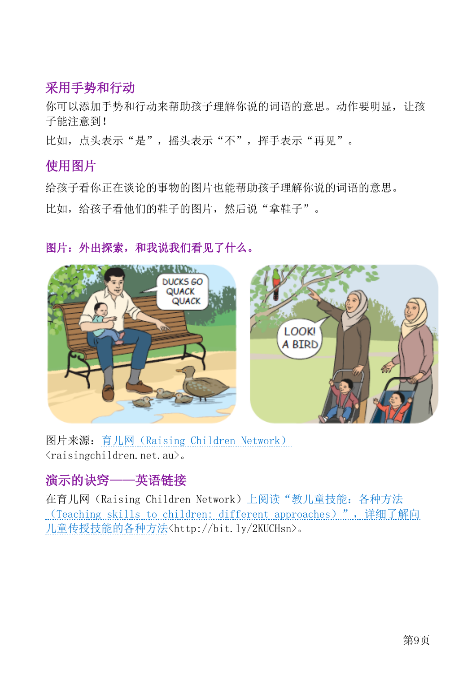### <span id="page-8-0"></span>采用手势和行动

你可以添加手势和行动来帮助孩子理解你说的词语的意思。动作要明显,让孩 子能注意到!

比如,点头表示"是",摇头表示"不",挥手表示"再见"。

#### <span id="page-8-1"></span>使用图片

给孩子看你正在谈论的事物的图片也能帮助孩子理解你说的词语的意思。 比如,给孩子看他们的鞋子的图片,然后说"拿鞋子"。

#### 图片:外出探索,和我说我们看见了什么。



图片来源:育儿网([Raising Children Network](file://///n075/GROUP/DHHS%20Comms/PUBLISHING/DHHS%20Microsoft%20publications/DHHS%20Word%20publications%202019/Maternal%20child%20health%20services/Promoting%20social%20attention%20interaction%20and%20communication%20skills/raisingchildren.net.au)) <raisingchildren.net.au>。

## <span id="page-8-2"></span>演示的诀窍——英语链接

在育儿网(Raising Children Network[\)上阅读"教儿童技能:各种方法](http://bit.ly/2KUCHsn) ([Teaching skills to children: different approaches](http://bit.ly/2KUCHsn))",详细了解向 [儿童传授技能的各种方法](http://bit.ly/2KUCHsn)[<http://bit.ly/2KUCHsn>](http://bit.ly/2KUCHsn)。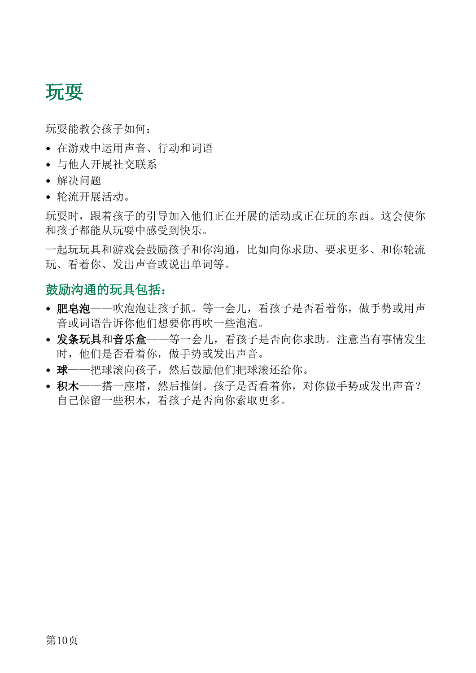## <span id="page-9-0"></span>玩耍

玩耍能教会孩子如何:

- 在游戏中运用声音、行动和词语
- 与他人开展社交联系
- 解决问题
- 轮流开展活动。

玩耍时,跟着孩子的引导加入他们正在开展的活动或正在玩的东西。这会使你 和孩子都能从玩耍中感受到快乐。

一起玩玩具和游戏会鼓励孩子和你沟通,比如向你求助、要求更多、和你轮流 玩、看着你、发出声音或说出单词等。

#### <span id="page-9-1"></span>鼓励沟通的玩具包括:

- 肥皂泡——吹泡泡让孩子抓。等一会儿,看孩子是否看着你,做手势或用声 音或词语告诉你他们想要你再吹一些泡泡。
- 发条玩具和音乐盒——等一会儿,看孩子是否向你求助。注意当有事情发生 时,他们是否看着你,做手势或发出声音。
- 球——把球滚向孩子,然后鼓励他们把球滚还给你。
- 积木——搭一座塔,然后推倒。孩子是否看着你,对你做手势或发出声音? 自己保留一些积木,看孩子是否向你索取更多。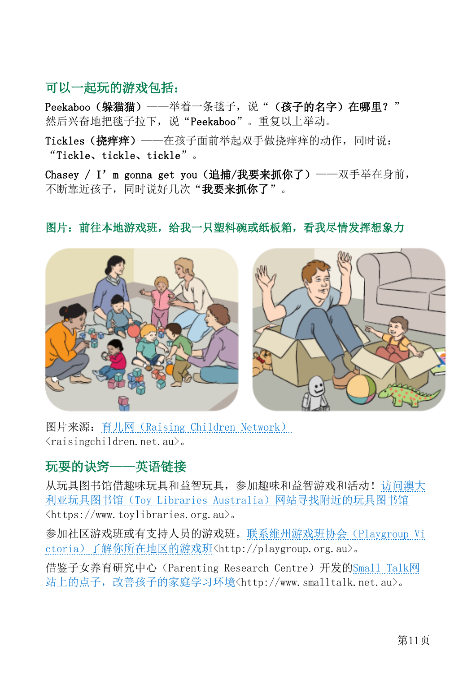### <span id="page-10-0"></span>可以一起玩的游戏包括:

Peekaboo (躲猫猫) ——举着一条毯子,说"(孩子的名字)在哪里?" 然后兴奋地把毯子拉下,说"Peekaboo"。重复以上举动。

Tickles(挠痒痒) ——在孩子面前举起双手做挠痒痒的动作,同时说: "Tickle、tickle、tickle"。

Chasey / I'm gonna get you (追捕/我要来抓你了) ——双手举在身前, 不断靠近孩子,同时说好几次"我要来抓你了"。



#### 图片:前往本地游戏班,给我一只塑料碗或纸板箱,看我尽情发挥想象力

图片来源:育儿网([Raising Children Network](file://///n075/GROUP/DHHS%20Comms/PUBLISHING/DHHS%20Microsoft%20publications/DHHS%20Word%20publications%202019/Maternal%20child%20health%20services/Promoting%20social%20attention%20interaction%20and%20communication%20skills/raisingchildren.net.au))  $\langle$ raisingchildren.net.au $\rangle$ .

### <span id="page-10-1"></span>玩耍的诀窍——英语链接

从玩具图书馆借趣味玩具和益智玩具,参加趣味和益智游戏和活动[!访问澳大](https://www.toylibraries.org.au/) 利亚玩具图书馆(Toy Libraries Australia[\)网站寻找附近的玩具图书馆](https://www.toylibraries.org.au/)  $\langle$ https://www.toylibraries.org.au>。

参加社区游戏班或有支持人员的游戏班[。联系维州游戏班协会\(](http://playgroup.org.au/)Playgroup Vi ctoria[\)了解你所在地区的游戏班](http://playgroup.org.au/)[<http://playgroup.org.au>](http://playgroup.org.au/)。

借鉴子女养育研究中心(Parenting Research Centre)开发的[Small Talk](https://www.smalltalk.net.au/)网 [站上的点子,改善孩子的家庭学习环境](https://www.smalltalk.net.au/)[<http://www.smalltalk.net.au>](http://www.smalltalk.net.au/)。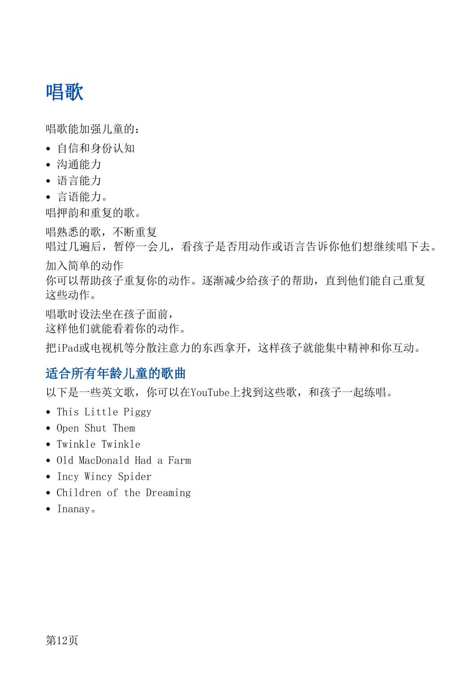# <span id="page-11-0"></span>唱歌

唱歌能加强儿童的:

- 自信和身份认知
- 沟通能力
- 语言能力
- 言语能力。

唱押韵和重复的歌。

唱熟悉的歌,不断重复

唱过几遍后,暂停一会儿,看孩子是否用动作或语言告诉你他们想继续唱下去。 加入简单的动作

你可以帮助孩子重复你的动作。逐渐减少给孩子的帮助,直到他们能自己重复 这些动作。

唱歌时设法坐在孩子面前, 这样他们就能看着你的动作。

把iPad或电视机等分散注意力的东西拿开,这样孩子就能集中精神和你互动。

## <span id="page-11-1"></span>适合所有年龄儿童的歌曲

以下是一些英文歌,你可以在YouTube上找到这些歌,和孩子一起练唱。

- This Little Piggy
- Open Shut Them
- Twinkle Twinkle
- Old MacDonald Had a Farm
- Incy Wincy Spider
- Children of the Dreaming
- Inanay。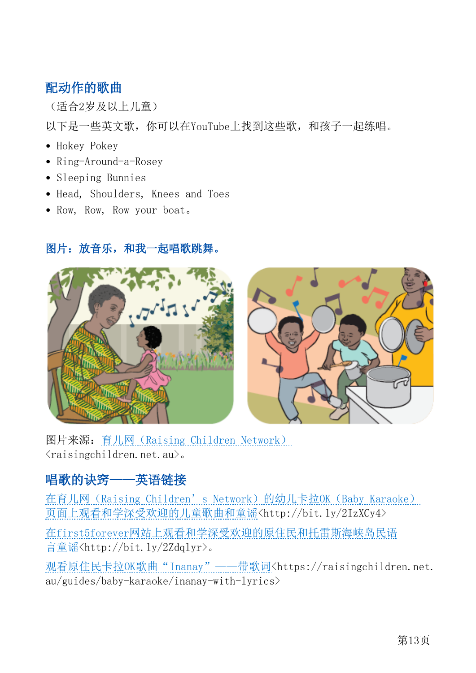## <span id="page-12-0"></span>配动作的歌曲

(适合2岁及以上儿童)

以下是一些英文歌,你可以在YouTube上找到这些歌,和孩子一起练唱。

- Hokey Pokey
- Ring-Around-a-Rosey
- Sleeping Bunnies
- Head, Shoulders, Knees and Toes
- Row, Row, Row your boat。

#### 图片:放音乐,和我一起唱歌跳舞。



图片来源:育儿网([Raising Children Network](file://///n075/GROUP/DHHS%20Comms/PUBLISHING/DHHS%20Microsoft%20publications/DHHS%20Word%20publications%202019/Maternal%20child%20health%20services/Promoting%20social%20attention%20interaction%20and%20communication%20skills/raisingchildren.net.au))  $\langle$ raisingchildren.net.au $\rangle$ .

## <span id="page-12-1"></span>唱歌的诀窍——英语链接

在育儿网 (Raising Children's Network)的幼儿卡拉OK (Baby Karaoke) [页面上观看和学深受欢迎的儿童歌曲和童谣](http://bit.ly/2IzXCy4)[<http://bit.ly/2IzXCy4>](http://bit.ly/2IzXCy4)

在first5forever[网站上观看和学深受欢迎的原住民和托雷斯海峡岛民语](http://bit.ly/2Zdqlyr) [言童谣](http://bit.ly/2Zdqlyr)[<http://bit.ly/2Zdqlyr>](http://bit.ly/2Zdqlyr)。

观看原住民卡拉OK[歌曲"Inanay"——带歌词](https://raisingchildren.net.au/guides/baby-karaoke/inanay-with-lyrics)[<https://raisingchildren.net.](https://raisingchildren.net.au/guides/baby-karaoke/inanay-with-lyrics) [au/guides/baby-karaoke/inanay-with-lyrics>](https://raisingchildren.net.au/guides/baby-karaoke/inanay-with-lyrics)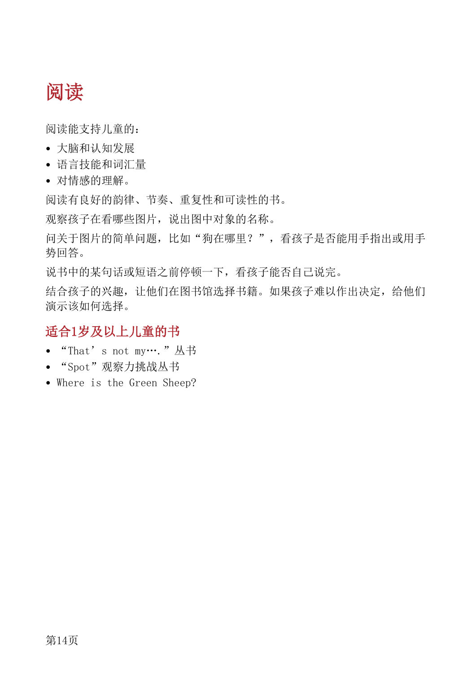# <span id="page-13-0"></span>阅读

阅读能支持儿童的:

- 大脑和认知发展
- 语言技能和词汇量
- 对情感的理解。

阅读有良好的韵律、节奏、重复性和可读性的书。

观察孩子在看哪些图片,说出图中对象的名称。

问关于图片的简单问题,比如"狗在哪里?",看孩子是否能用手指出或用手 势回答。

说书中的某句话或短语之前停顿一下,看孩子能否自己说完。

结合孩子的兴趣,让他们在图书馆选择书籍。如果孩子难以作出决定,给他们 演示该如何选择。

### <span id="page-13-1"></span>适合1岁及以上儿童的书

- "That's not my…."丛书
- "Spot"观察力挑战丛书
- Where is the Green Sheep?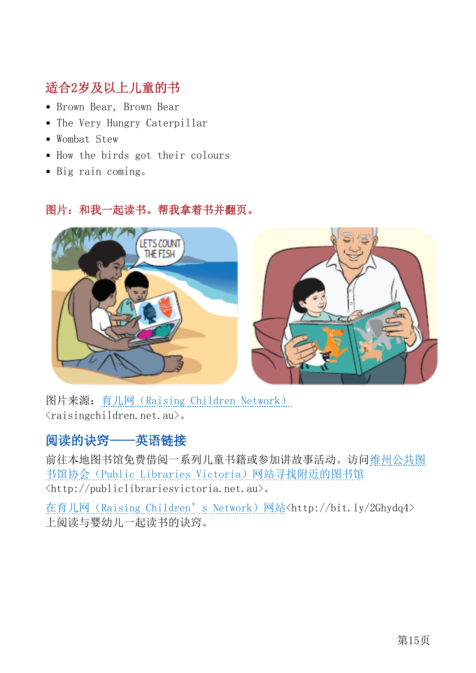## <span id="page-14-0"></span>适合2岁及以上儿童的书

- Brown Bear, Brown Bear
- The Very Hungry Caterpillar
- Wombat Stew
- How the birds got their colours
- Big rain coming。

#### 图片:和我一起读书。帮我拿着书并翻页。



图片来源:育儿网([Raising Children Network](file://///n075/GROUP/DHHS%20Comms/PUBLISHING/DHHS%20Microsoft%20publications/DHHS%20Word%20publications%202019/Maternal%20child%20health%20services/Promoting%20social%20attention%20interaction%20and%20communication%20skills/raisingchildren.net.au))  $\langle$ raisingchildren.net.au $\rangle$ .

## <span id="page-14-1"></span>阅读的诀窍——英语链接

前往本地图书馆免费借阅一系列儿童书籍或参加讲故事活动。访[问维州公共图](https://www.publiclibrariesvictoria.net.au/) 书馆协会([Public Libraries Victoria](https://www.publiclibrariesvictoria.net.au/))网站寻找附近的图书馆 [<http://publiclibrariesvictoria.net.au>](http://publiclibrariesvictoria.net.au/)。

在育儿网 (Raising Children's Network)网站[<http://bit.ly/2Ghydq4>](http://bit.ly/2Ghydq4) 上阅读与婴幼儿一起读书的诀窍。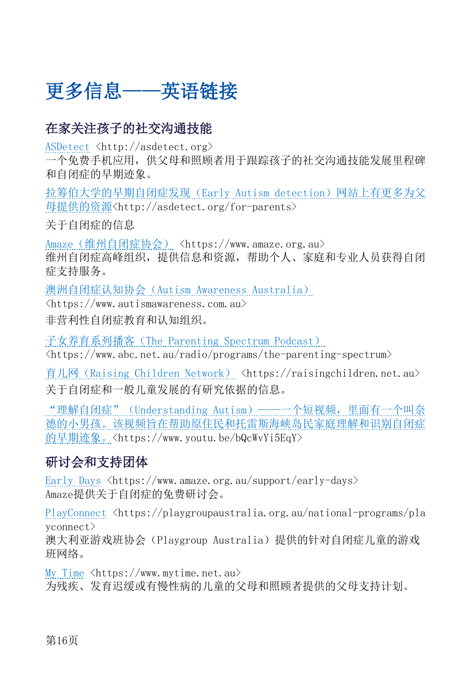# <span id="page-15-0"></span>更多信息——英语链接

## <span id="page-15-1"></span>在家关注孩子的社交沟通技能

[ASDetect](http://asdetect.org/) [<http://asdetect.org>](http://asdetect.org/)

一个免费手机应用,供父母和照顾者用于跟踪孩子的社交沟通技能发展里程碑 和自闭症的早期迹象。

[拉筹伯大学的早期自闭症发现\(](http://asdetect.org/for-parents)Early Autism detection)网站上有更多为父 [母提供的资源](http://asdetect.org/for-parents)[<http://asdetect.org/for-parents>](http://asdetect.org/for-parents)

关于自闭症的信息

Amaze [\(维州自闭症协会\)](https://www.amaze.org.au/) [<https://www.amaze.org.au>](https://www.amaze.org.au/) 维州自闭症高峰组织,提供信息和资源,帮助个人、家庭和专业人员获得自闭 症支持服务。

澳洲自闭症认知协会([Autism Awareness Australia](https://www.autismawareness.com.au/))

[<https://www.autismawareness.com.au>](https://www.autismawareness.com.au/) 非营利性自闭症教育和认知组织。

子女养育系列播客([The Parenting Spectrum Podcast](https://www.abc.net.au/radio/programs/the-parenting-spectrum))  $\langle$ https://www.abc.net.au/radio/programs/the-parenting-spectrum>

育儿网 ([Raising Children Network](https://raisingchildren.net.au/)) [<https://raisingchildren.net.au>](https://raisingchildren.net.au/) 关于自闭症和一般儿童发展的有研究依据的信息。

"理解自闭症" (Understanding Autism) ——一个短视频, 里面有一个叫奈 [德的小男孩。该视频旨在帮助原住民和托雷斯海峡岛民家庭理解和识别自闭症](https://www.youtu.be/bQcWvYi5EqY) [的早期迹象。](https://www.youtu.be/bQcWvYi5EqY)[<https://www.youtu.be/bQcWvYi5EqY>](https://www.youtu.be/bQcWvYi5EqY)

## <span id="page-15-2"></span>研讨会和支持团体

[Early Days](https://www.amaze.org.au/support/early-days) [<https://www.amaze.org.au/support/early-days>](https://www.amaze.org.au/support/early-days) Amaze提供关于自闭症的免费研讨会。

[PlayConnect](https://playgroupaustralia.org.au/national-programs/playconnect/) [<https://playgroupaustralia.org.au/national-programs/pla](https://playgroupaustralia.org.au/national-programs/playconnect) [yconnect>](https://playgroupaustralia.org.au/national-programs/playconnect)

澳大利亚游戏班协会(Playgroup Australia)提供的针对自闭症儿童的游戏 班网络。

[My Time](https://www.mytime.net.au/)  $\langle$ https://www.mytime.net.au> 为残疾、发育迟缓或有慢性病的儿童的父母和照顾者提供的父母支持计划。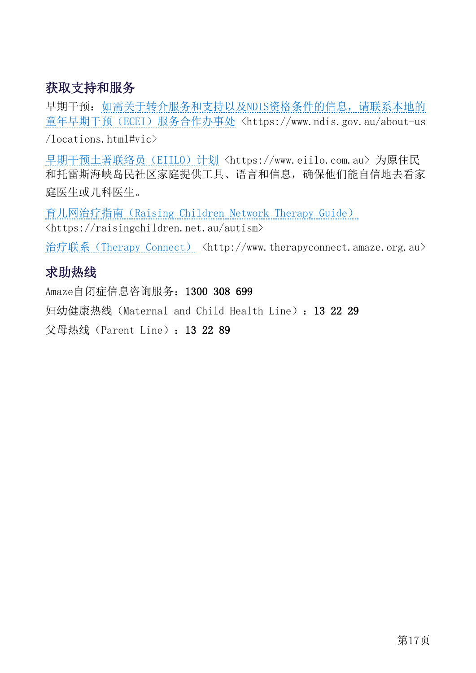## <span id="page-16-0"></span>获取支持和服务

早期干预: 如需关于转介服务和支持以及NDIS[资格条件的信息,请联系本地的](https://www.ndis.gov.au/about-us/locations.html#vic) 童年早期干预(ECEI[\)服务合作办事处](https://www.ndis.gov.au/about-us/locations.html#vic) [<https://www.ndis.gov.au/about-us](https://www.ndis.gov.au/about-us/locations.html%23vic)  $/$ locations.html#vic>

[早期干预土著联络员\(](https://www.eiilo.com.au/)EIILO)计划[<https://www.eiilo.com.au>](https://www.eiilo.com.au/) 为原住民 和托雷斯海峡岛民社区家庭提供工具、语言和信息,确保他们能自信地去看家 庭医生或儿科医生。

育儿网治疗指南([Raising Children Network Therapy Guide](https://raisingchildren.net.au/autism)) [<https://raisingchildren.net.au/autism>](https://raisingchildren.net.au/autism)

治疗联系 ([Therapy Connect](http://www.therapyconnect.amaze.org.au/)) [<http://www.therapyconnect.amaze.org.au>](http://www.therapyconnect.amaze.org.au/)

### <span id="page-16-1"></span>求助热线

Amaze自闭症信息咨询服务:1300 308 699

妇幼健康热线(Maternal and Child Health Line):13 22 29

父母热线(Parent Line):13 22 89